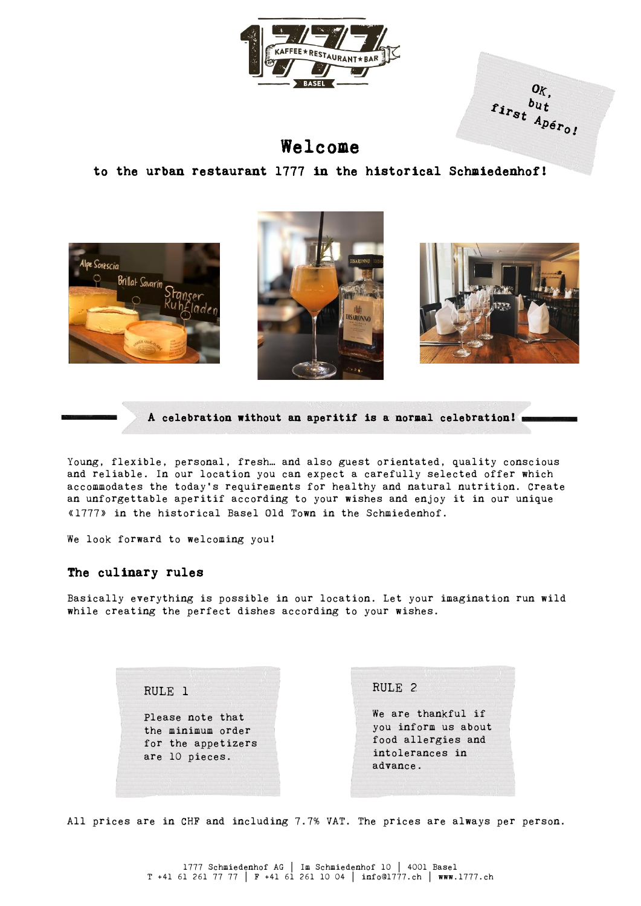

OK.  $\begin{array}{c} o_{K,}\\ r_{i r_{S t}} \end{array} \begin{array}{c} o_{K,}\\ b_{u t}\\ A_{p \epsilon r_{O,I}} \end{array}$ 

Welcome

to the urban restaurant 1777 in the historical Schmiedenhof!







A celebration without an aperitif is a normal celebration!

Young, flexible, personal, fresh… and also guest orientated, quality conscious and reliable. In our location you can expect a carefully selected offer which accommodates the today's requirements for healthy and natural nutrition. Create an unforgettable aperitif according to your wishes and enjoy it in our unique «1777» in the historical Basel Old Town in the Schmiedenhof.

We look forward to welcoming you!

### The culinary rules

Basically everything is possible in our location. Let your imagination run wild while creating the perfect dishes according to your wishes.

> RULE 1 Please note that the minimum order for the appetizers are 10 pieces. RULE 2 We are thankful if you inform us about food allergies and intolerances in advance.

All prices are in CHF and including 7.7% VAT. The prices are always per person.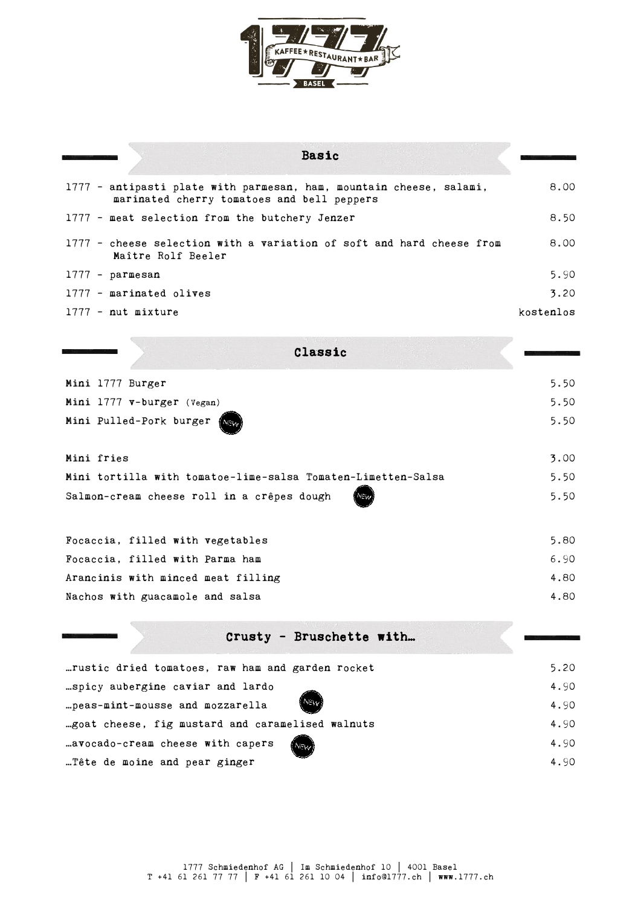

| <b>Basic</b>                                                                                                      |           |
|-------------------------------------------------------------------------------------------------------------------|-----------|
| 1777 - antipasti plate with parmesan, ham, mountain cheese, salami,<br>marinated cherry tomatoes and bell peppers | 8.00      |
| 1777 - meat selection from the butchery Jenzer                                                                    | 8.50      |
| 1777 - cheese selection with a variation of soft and hard cheese from<br>Maître Rolf Beeler                       | 8.00      |
| $1777 - parmesan$                                                                                                 | 5.90      |
| 1777 - marinated olives                                                                                           | 3.20      |
| $1777$ - nut mixture                                                                                              | kostenlos |
|                                                                                                                   |           |
| Classic                                                                                                           |           |
| Mini 1777 Burger                                                                                                  | 5.50      |
| Mini 1777 v-burger (Vegan)                                                                                        | 5.50      |
| Mini Pulled-Pork burger                                                                                           | 5.50      |
|                                                                                                                   |           |
| Mini fries                                                                                                        | 3.00      |
| Mini tortilla with tomatoe-lime-salsa Tomaten-Limetten-Salsa                                                      | 5.50      |
| Salmon-cream cheese roll in a crêpes dough                                                                        | 5.50      |
|                                                                                                                   |           |
| Focaccia, filled with vegetables                                                                                  | 5.80      |
| Focaccia, filled with Parma ham                                                                                   | 6.90      |
| Arancinis with minced meat filling                                                                                | 4.80      |
| Nachos with guacamole and salsa                                                                                   | 4.80      |

| Crusty - Bruschette with                               |      |
|--------------------------------------------------------|------|
| rustic dried tomatoes, raw ham and garden rocket       | 5.20 |
| .spicy aubergine caviar and lardo                      | 4.90 |
| <i><b>INEWD</b></i><br>peas-mint-mousse and mozzarella | 4.90 |
| goat cheese, fig mustard and caramelised walnuts       | 4.90 |
| avocado-cream cheese with capers<br>(NEW               | 4.90 |
| Tête de moine and pear ginger                          | 4.90 |

 $\overline{\mathbb{C}}$  .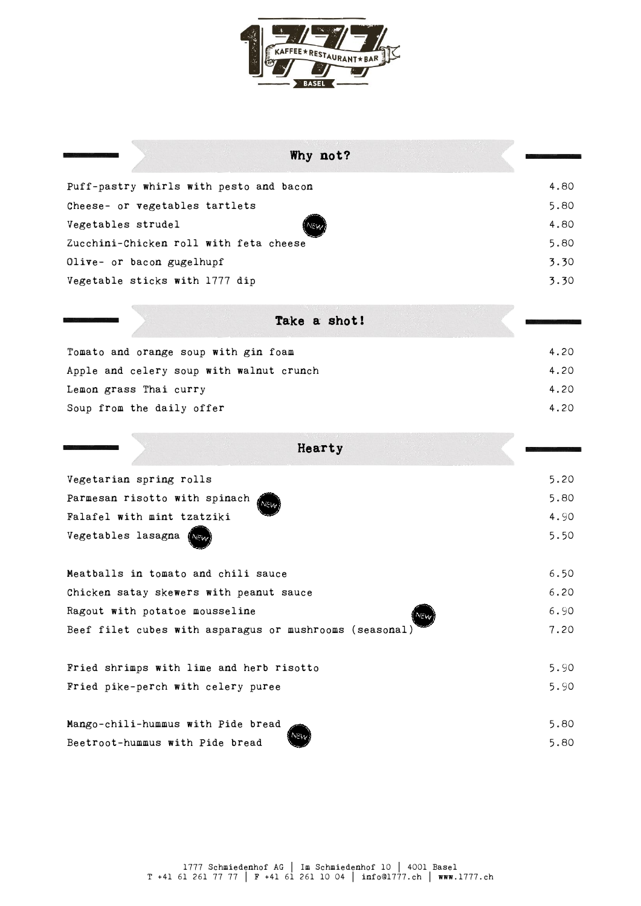

| Why not?                                                |      |
|---------------------------------------------------------|------|
| Puff-pastry whirls with pesto and bacon                 | 4.80 |
| Cheese- or vegetables tartlets                          | 5.80 |
| Vegetables strudel                                      | 4.80 |
| Zucchini-Chicken roll with feta cheese                  | 5.80 |
| Olive- or bacon gugelhupf                               | 3.30 |
| Vegetable sticks with 1777 dip                          | 3.30 |
| Take a shot!                                            |      |
| Tomato and orange soup with gin foam                    | 4.20 |
| Apple and celery soup with walnut crunch                | 4.20 |
| Lemon grass Thai curry                                  | 4.20 |
| Soup from the daily offer                               | 4.20 |
| Hearty                                                  |      |
| Vegetarian spring rolls                                 | 5.20 |
| Parmesan risotto with spinach                           | 5.80 |
| Falafel with mint tzatziki                              | 4.90 |
| Vegetables lasagna                                      | 5.50 |
| Meatballs in tomato and chili sauce                     | 6.50 |
| Chicken satay skewers with peanut sauce                 | 6.20 |
| Ragout with potatoe mousseline                          | 6.90 |
| Beef filet cubes with asparagus or mushrooms (seasonal) | 7.20 |
| Fried shrimps with lime and herb risotto                | 5.90 |
| Fried pike-perch with celery puree                      | 5.90 |
| Mango-chili-hummus with Pide bread                      | 5.80 |
| Beetroot-hummus with Pide bread                         | 5.80 |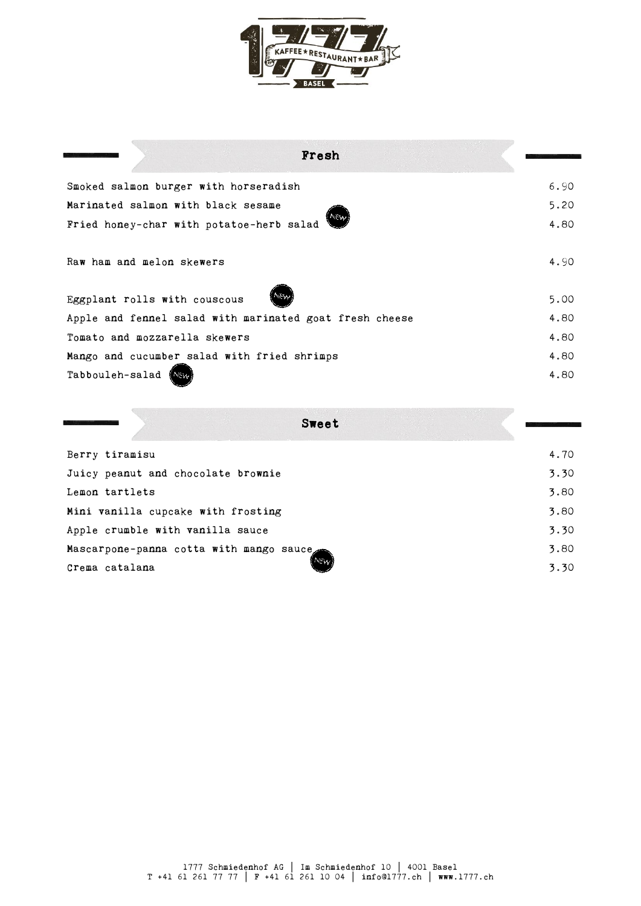

| Fresh                                                   |      |
|---------------------------------------------------------|------|
| Smoked salmon burger with horseradish                   | 6.90 |
| Marinated salmon with black sesame                      | 5.20 |
| NEW<br>Fried honey-char with potatoe-herb salad         | 4.80 |
| Raw ham and melon skewers                               | 4.90 |
| NEW<br>Eggplant rolls with couscous                     | 5.00 |
| Apple and fennel salad with marinated goat fresh cheese | 4.80 |
| Tomato and mozzarella skewers                           | 4.80 |
| Mango and cucumber salad with fried shrimps             | 4.80 |
| Tabbouleh-salad                                         | 4.80 |

|                                         | Sweet       |
|-----------------------------------------|-------------|
| Berry tiramisu                          | 4.70        |
| Juicy peanut and chocolate brownie      | 3.30        |
| Lemon tartlets                          | 3.80        |
| Mini vanilla cupcake with frosting      | 3.80        |
| Apple crumble with vanilla sauce        | 3.30        |
| Mascarpone-panna cotta with mango sauce | 3.80        |
| Crema catalana                          | NEW<br>3.30 |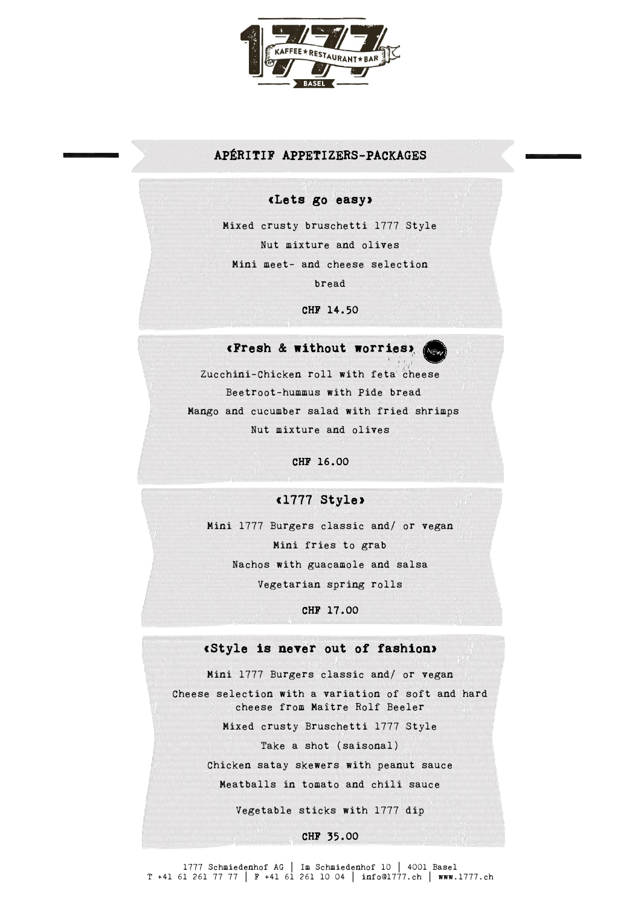

### APÉRITIF APPETIZERS-PACKAGES

#### «Lets go easy»

Mixed crusty bruschetti 1777 Style Nut mixture and olives Mini meet- and cheese selection bread

CHF 14.50

### «Fresh & without worries»

Zucchini-Chicken roll with feta cheese Beetroot-hummus with Pide bread Mango and cucumber salad with fried shrimps Nut mixture and olives

CHF 16.00

### .<br>Wil «1777 Style»

Mini 1777 Burgers classic and/ or vegan Mini fries to grab Nachos with guacamole and salsa Vegetarian spring rolls

CHF 17.00

#### «Style is never out of fashion»

Mini 1777 Burgers classic and/ or vegan Cheese selection with a variation of soft and hard cheese from Maître Rolf Beeler Mixed crusty Bruschetti 1777 Style Take a shot (saisonal) Chicken satay skewers with peanut sauce Meatballs in tomato and chili sauce Vegetable sticks with 1777 dip

CHF 35.00

1777 Schmiedenhof AG │ Im Schmiedenhof 10 │ 4001 Basel T +41 61 261 77 77 │ F +41 61 261 10 04 │ info@1777.ch │ www.1777.ch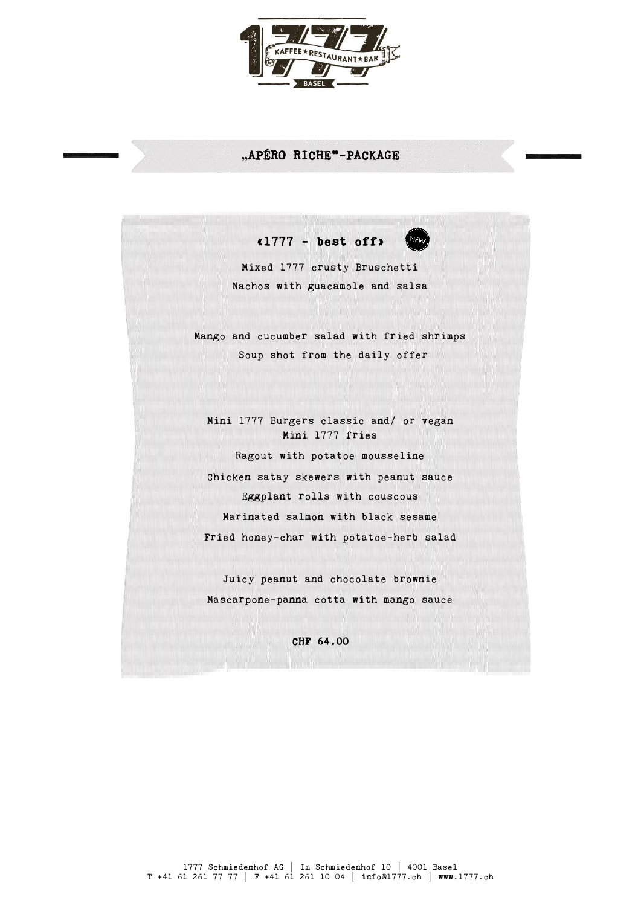

## **"**APÉRO RICHE"-PACKAGE

«1777 - best off»

Mixed 1777 crusty Bruschetti Nachos with guacamole and salsa

Mango and cucumber salad with fried shrimps Soup shot from the daily offer

Mini 1777 Burgers classic and/ or vegan Mini 1777 fries Ragout with potatoe mousseline Chicken satay skewers with peanut sauce Eggplant rolls with couscous Marinated salmon with black sesame Fried honey-char with potatoe-herb salad

Juicy peanut and chocolate brownie Mascarpone-panna cotta with mango sauce

CHF 64.00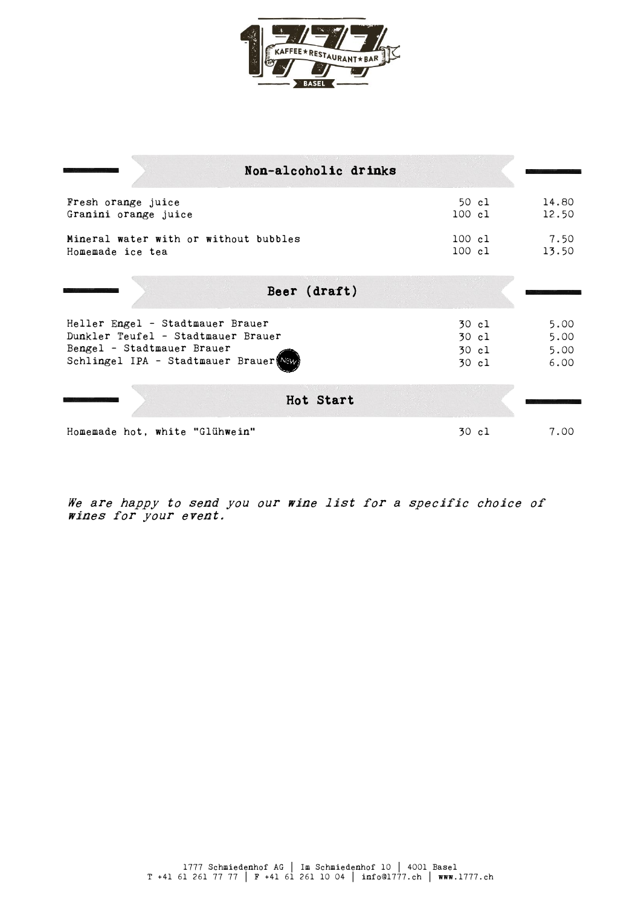

| Non-alcoholic drinks                                                                                                                            |                                  |                              |
|-------------------------------------------------------------------------------------------------------------------------------------------------|----------------------------------|------------------------------|
|                                                                                                                                                 |                                  |                              |
| Fresh orange juice<br>Granini orange juice                                                                                                      | 50 cl<br>$100 \text{ cl}$        | 14.80<br>12.50               |
| Mineral water with or without bubbles<br>Homemade ice tea                                                                                       | 100 cl<br>100 cl                 | 7.50<br>13.50                |
| Beer (draft)                                                                                                                                    |                                  |                              |
| Heller Engel - Stadtmauer Brauer<br>Dunkler Teufel - Stadtmauer Brauer<br>Bengel - Stadtmauer Brauer<br>Schlingel IPA - Stadtmauer Brauer (NEW) | 30 cl<br>30 cl<br>30 cl<br>30 cl | 5.00<br>5.00<br>5.00<br>6.00 |
| Hot Start                                                                                                                                       |                                  |                              |
| Homemade hot, white "Glühwein"                                                                                                                  | 30 cl                            | 7.00                         |

We are happy to send you our wine list for a specific choice of wines for your event.